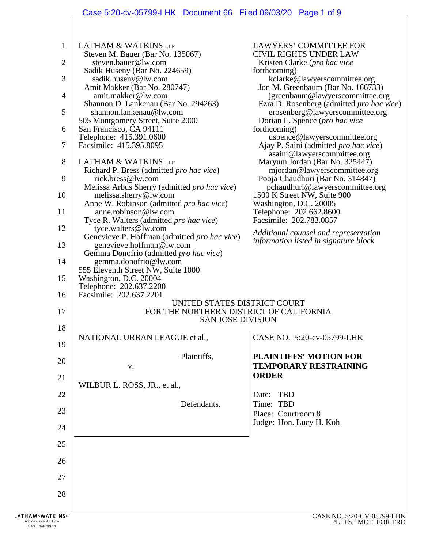# Case 5:20-cv-05799-LHK Document 66 Filed 09/03/20 Page 1 of 9

|                                                                                     | $3.20$ CV 00100 LHT Document 00 Thea 00100/20 Tage 1 010                                                                                                                                                                                                                                                                                                                                                                                                                                                                                                                                                                                                                                                                                                                                      |                                                                                                                                                                                                                                                                                                                                                                                                                                                                                                                                                                                                                                                                                                                                                                                           |
|-------------------------------------------------------------------------------------|-----------------------------------------------------------------------------------------------------------------------------------------------------------------------------------------------------------------------------------------------------------------------------------------------------------------------------------------------------------------------------------------------------------------------------------------------------------------------------------------------------------------------------------------------------------------------------------------------------------------------------------------------------------------------------------------------------------------------------------------------------------------------------------------------|-------------------------------------------------------------------------------------------------------------------------------------------------------------------------------------------------------------------------------------------------------------------------------------------------------------------------------------------------------------------------------------------------------------------------------------------------------------------------------------------------------------------------------------------------------------------------------------------------------------------------------------------------------------------------------------------------------------------------------------------------------------------------------------------|
| $\mathbf{1}$<br>2<br>3<br>$\overline{4}$<br>5<br>6<br>7<br>8<br>9<br>10<br>11<br>12 | <b>LATHAM &amp; WATKINS LLP</b><br>Steven M. Bauer (Bar No. 135067)<br>steven.bauer@lw.com<br>Sadik Huseny (Bar No. 224659)<br>sadik.huseny@lw.com<br>Amit Makker (Bar No. 280747)<br>amit.makker@lw.com<br>Shannon D. Lankenau (Bar No. 294263)<br>shannon.lankenau@lw.com<br>505 Montgomery Street, Suite 2000<br>San Francisco, CA 94111<br>Telephone: 415.391.0600<br>Facsimile: 415.395.8095<br><b>LATHAM &amp; WATKINS LLP</b><br>Richard P. Bress (admitted pro hac vice)<br>rick.bress@lw.com<br>Melissa Arbus Sherry (admitted pro hac vice)<br>melissa.sherry@lw.com<br>Anne W. Robinson (admitted <i>pro hac vice</i> )<br>anne. robinson@lw.com<br>Tyce R. Walters (admitted <i>pro hac vice</i> )<br>tyce.walters@lw.com<br>Genevieve P. Hoffman (admitted <i>pro hac vice</i> ) | <b>LAWYERS' COMMITTEE FOR</b><br><b>CIVIL RIGHTS UNDER LAW</b><br>Kristen Clarke (pro hac vice<br>forthcoming)<br>kclarke@lawyerscommittee.org<br>Jon M. Greenbaum (Bar No. 166733)<br>jgreenbaum@lawyerscommittee.org<br>Ezra D. Rosenberg (admitted <i>pro hac vice</i> )<br>erosenberg@lawyerscommittee.org<br>Dorian L. Spence ( <i>pro hac vice</i><br>forthcoming)<br>dspence@lawyerscommittee.org<br>Ajay P. Saini (admitted <i>pro hac vice</i> )<br>asaini@lawyerscommittee.org<br>Maryum Jordan (Bar No. 325447)<br>mjordan@lawyerscommittee.org<br>Pooja Chaudhuri (Bar No. 314847)<br>pchaudhuri@lawyerscommittee.org<br>1500 K Street NW, Suite 900<br>Washington, D.C. 20005<br>Telephone: 202.662.8600<br>Facsimile: 202.783.0857<br>Additional counsel and representation |
| 13                                                                                  | genevieve.hoffman@lw.com<br>Gemma Donofrio (admitted pro hac vice)                                                                                                                                                                                                                                                                                                                                                                                                                                                                                                                                                                                                                                                                                                                            | information listed in signature block                                                                                                                                                                                                                                                                                                                                                                                                                                                                                                                                                                                                                                                                                                                                                     |
| 14                                                                                  | gemma.donofrio@lw.com<br>555 Eleventh Street NW, Suite 1000                                                                                                                                                                                                                                                                                                                                                                                                                                                                                                                                                                                                                                                                                                                                   |                                                                                                                                                                                                                                                                                                                                                                                                                                                                                                                                                                                                                                                                                                                                                                                           |
| 15                                                                                  | Washington, D.C. 20004<br>Telephone: 202.637.2200<br>Facsimile: 202.637.2201                                                                                                                                                                                                                                                                                                                                                                                                                                                                                                                                                                                                                                                                                                                  |                                                                                                                                                                                                                                                                                                                                                                                                                                                                                                                                                                                                                                                                                                                                                                                           |
| 16<br>17                                                                            | UNITED STATES DISTRICT COURT<br>FOR THE NORTHERN DISTRICT OF CALIFORNIA<br><b>SAN JOSE DIVISION</b>                                                                                                                                                                                                                                                                                                                                                                                                                                                                                                                                                                                                                                                                                           |                                                                                                                                                                                                                                                                                                                                                                                                                                                                                                                                                                                                                                                                                                                                                                                           |
| 18                                                                                  | NATIONAL URBAN LEAGUE et al.,                                                                                                                                                                                                                                                                                                                                                                                                                                                                                                                                                                                                                                                                                                                                                                 | CASE NO. 5:20-cv-05799-LHK                                                                                                                                                                                                                                                                                                                                                                                                                                                                                                                                                                                                                                                                                                                                                                |
| 19                                                                                  | Plaintiffs,                                                                                                                                                                                                                                                                                                                                                                                                                                                                                                                                                                                                                                                                                                                                                                                   | <b>PLAINTIFFS' MOTION FOR</b>                                                                                                                                                                                                                                                                                                                                                                                                                                                                                                                                                                                                                                                                                                                                                             |
| 20<br>21                                                                            | V.                                                                                                                                                                                                                                                                                                                                                                                                                                                                                                                                                                                                                                                                                                                                                                                            | <b>TEMPORARY RESTRAINING</b><br><b>ORDER</b>                                                                                                                                                                                                                                                                                                                                                                                                                                                                                                                                                                                                                                                                                                                                              |
| 22                                                                                  | WILBUR L. ROSS, JR., et al.,                                                                                                                                                                                                                                                                                                                                                                                                                                                                                                                                                                                                                                                                                                                                                                  | <b>TBD</b><br>Date:                                                                                                                                                                                                                                                                                                                                                                                                                                                                                                                                                                                                                                                                                                                                                                       |
| 23                                                                                  | Defendants.                                                                                                                                                                                                                                                                                                                                                                                                                                                                                                                                                                                                                                                                                                                                                                                   | Time: TBD<br>Place: Courtroom 8                                                                                                                                                                                                                                                                                                                                                                                                                                                                                                                                                                                                                                                                                                                                                           |
| 24                                                                                  |                                                                                                                                                                                                                                                                                                                                                                                                                                                                                                                                                                                                                                                                                                                                                                                               | Judge: Hon. Lucy H. Koh                                                                                                                                                                                                                                                                                                                                                                                                                                                                                                                                                                                                                                                                                                                                                                   |
| 25                                                                                  |                                                                                                                                                                                                                                                                                                                                                                                                                                                                                                                                                                                                                                                                                                                                                                                               |                                                                                                                                                                                                                                                                                                                                                                                                                                                                                                                                                                                                                                                                                                                                                                                           |
| 26                                                                                  |                                                                                                                                                                                                                                                                                                                                                                                                                                                                                                                                                                                                                                                                                                                                                                                               |                                                                                                                                                                                                                                                                                                                                                                                                                                                                                                                                                                                                                                                                                                                                                                                           |
| 27                                                                                  |                                                                                                                                                                                                                                                                                                                                                                                                                                                                                                                                                                                                                                                                                                                                                                                               |                                                                                                                                                                                                                                                                                                                                                                                                                                                                                                                                                                                                                                                                                                                                                                                           |
| 28                                                                                  |                                                                                                                                                                                                                                                                                                                                                                                                                                                                                                                                                                                                                                                                                                                                                                                               |                                                                                                                                                                                                                                                                                                                                                                                                                                                                                                                                                                                                                                                                                                                                                                                           |
| <b>LATHAM&amp;WATKINS</b> up<br><b>ATTORNEYS AT LAW</b><br><b>SAN FRANCISCO</b>     |                                                                                                                                                                                                                                                                                                                                                                                                                                                                                                                                                                                                                                                                                                                                                                                               | CASE NO. 5:20-CV-05799-LHK<br>PLTFS.' MOT. FOR TRO                                                                                                                                                                                                                                                                                                                                                                                                                                                                                                                                                                                                                                                                                                                                        |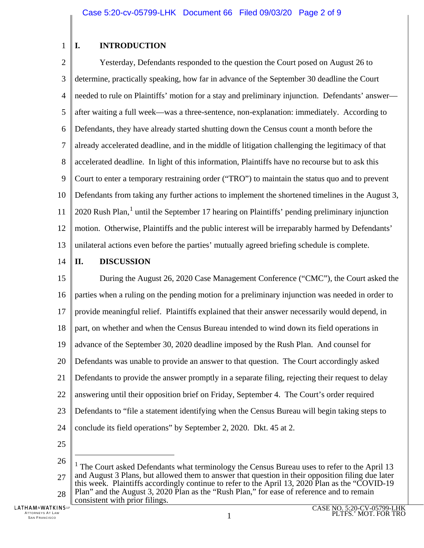### 1 **I. INTRODUCTION**

 $\mathcal{D}_{\mathcal{L}}$ 3 4 5 6 7 8 9 10 11 12 13 Yesterday, Defendants responded to the question the Court posed on August 26 to determine, practically speaking, how far in advance of the September 30 deadline the Court needed to rule on Plaintiffs' motion for a stay and preliminary injunction. Defendants' answer after waiting a full week—was a three-sentence, non-explanation: immediately. According to Defendants, they have already started shutting down the Census count a month before the already accelerated deadline, and in the middle of litigation challenging the legitimacy of that accelerated deadline. In light of this information, Plaintiffs have no recourse but to ask this Court to enter a temporary restraining order ("TRO") to maintain the status quo and to prevent Defendants from taking any further actions to implement the shortened timelines in the August 3, 2020 Rush Plan,<sup>[1](#page-1-0)</sup> until the September 17 hearing on Plaintiffs' pending preliminary injunction motion. Otherwise, Plaintiffs and the public interest will be irreparably harmed by Defendants' unilateral actions even before the parties' mutually agreed briefing schedule is complete.

#### 14 **II. DISCUSSION**

15 16 17 18 19 20 21 22 23 24 25 During the August 26, 2020 Case Management Conference ("CMC"), the Court asked the parties when a ruling on the pending motion for a preliminary injunction was needed in order to provide meaningful relief. Plaintiffs explained that their answer necessarily would depend, in part, on whether and when the Census Bureau intended to wind down its field operations in advance of the September 30, 2020 deadline imposed by the Rush Plan. And counsel for Defendants was unable to provide an answer to that question. The Court accordingly asked Defendants to provide the answer promptly in a separate filing, rejecting their request to delay answering until their opposition brief on Friday, September 4. The Court's order required Defendants to "file a statement identifying when the Census Bureau will begin taking steps to conclude its field operations" by September 2, 2020. Dkt. 45 at 2.

 $\overline{a}$ 

<span id="page-1-0"></span><sup>26</sup> 27 28 <sup>1</sup> The Court asked Defendants what terminology the Census Bureau uses to refer to the April 13 and August 3 Plans, but allowed them to answer that question in their opposition filing due later this week. Plaintiffs accordingly continue to refer to the April 13, 2020 Plan as the "COVID-19 Plan" and the August 3, 2020 Plan as the "Rush Plan," for ease of reference and to remain consistent with prior filings.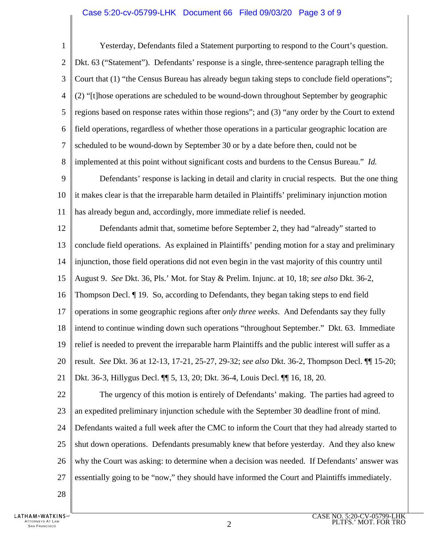### Case 5:20-cv-05799-LHK Document 66 Filed 09/03/20 Page 3 of 9

1  $\mathcal{D}_{\mathcal{L}}$ 3 4 5 6 7 8 Yesterday, Defendants filed a Statement purporting to respond to the Court's question. Dkt. 63 ("Statement"). Defendants' response is a single, three-sentence paragraph telling the Court that (1) "the Census Bureau has already begun taking steps to conclude field operations"; (2) "[t]hose operations are scheduled to be wound-down throughout September by geographic regions based on response rates within those regions"; and (3) "any order by the Court to extend field operations, regardless of whether those operations in a particular geographic location are scheduled to be wound-down by September 30 or by a date before then, could not be implemented at this point without significant costs and burdens to the Census Bureau." *Id.*

9 10 11 Defendants' response is lacking in detail and clarity in crucial respects. But the one thing it makes clear is that the irreparable harm detailed in Plaintiffs' preliminary injunction motion has already begun and, accordingly, more immediate relief is needed.

12 13 14 15 16 17 18 19 20 21 Defendants admit that, sometime before September 2, they had "already" started to conclude field operations. As explained in Plaintiffs' pending motion for a stay and preliminary injunction, those field operations did not even begin in the vast majority of this country until August 9. *See* Dkt. 36, Pls.' Mot. for Stay & Prelim. Injunc. at 10, 18; *see also* Dkt. 36-2, Thompson Decl. ¶ 19. So, according to Defendants, they began taking steps to end field operations in some geographic regions after *only three weeks*. And Defendants say they fully intend to continue winding down such operations "throughout September." Dkt. 63. Immediate relief is needed to prevent the irreparable harm Plaintiffs and the public interest will suffer as a result. *See* Dkt. 36 at 12-13, 17-21, 25-27, 29-32; *see also* Dkt. 36-2, Thompson Decl. ¶¶ 15-20; Dkt. 36-3, Hillygus Decl. ¶¶ 5, 13, 20; Dkt. 36-4, Louis Decl. ¶¶ 16, 18, 20.

22 23 The urgency of this motion is entirely of Defendants' making. The parties had agreed to an expedited preliminary injunction schedule with the September 30 deadline front of mind.

24 25 26 27 Defendants waited a full week after the CMC to inform the Court that they had already started to shut down operations. Defendants presumably knew that before yesterday. And they also knew why the Court was asking: to determine when a decision was needed. If Defendants' answer was essentially going to be "now," they should have informed the Court and Plaintiffs immediately.

28

**LATHAM&WATKINSW** ATTORNEYS AT LAW TORNEYS AT LAW  $\,$  2 and 2 and 2 and 2 and 2 and 2 and 2 and 2 and 2 and 2 and 2 and 2 and 2 and 2 and 2 and 2 and 2 and 2 and 2 and 2 and 2 and 2 and 2 and 2 and 2 and 2 and 2 and 2 and 2 and 2 and 2 and 2 and 2 and 2 a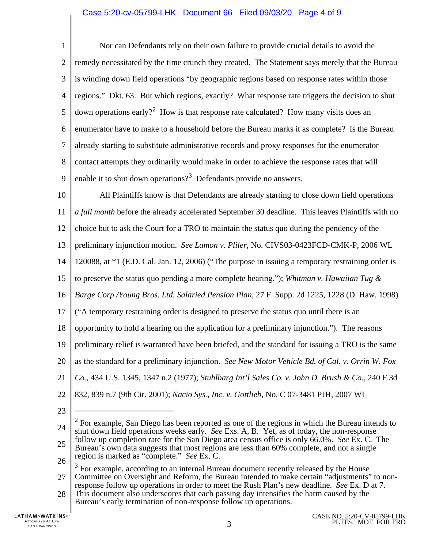## Case 5:20-cv-05799-LHK Document 66 Filed 09/03/20 Page 4 of 9

1  $\mathcal{D}_{\mathcal{L}}$ 3 4 5 6 7 8 9 Nor can Defendants rely on their own failure to provide crucial details to avoid the remedy necessitated by the time crunch they created. The Statement says merely that the Bureau is winding down field operations "by geographic regions based on response rates within those regions." Dkt. 63. But which regions, exactly? What response rate triggers the decision to shut down operations early?<sup>[2](#page-3-0)</sup> How is that response rate calculated? How many visits does an enumerator have to make to a household before the Bureau marks it as complete? Is the Bureau already starting to substitute administrative records and proxy responses for the enumerator contact attempts they ordinarily would make in order to achieve the response rates that will enable it to shut down operations?<sup>[3](#page-3-1)</sup> Defendants provide no answers.

10 11 12 All Plaintiffs know is that Defendants are already starting to close down field operations *a full month* before the already accelerated September 30 deadline. This leaves Plaintiffs with no choice but to ask the Court for a TRO to maintain the status quo during the pendency of the

13 preliminary injunction motion. *See Lamon v. Pliler*, No. CIVS03-0423FCD-CMK-P, 2006 WL

14 120088, at \*1 (E.D. Cal. Jan. 12, 2006) ("The purpose in issuing a temporary restraining order is

15 to preserve the status quo pending a more complete hearing."); *Whitman v. Hawaiian Tug &* 

16 *Barge Corp./Young Bros. Ltd. Salaried Pension Plan*, 27 F. Supp. 2d 1225, 1228 (D. Haw. 1998)

17 ("A temporary restraining order is designed to preserve the status quo until there is an

18 opportunity to hold a hearing on the application for a preliminary injunction."). The reasons

19 preliminary relief is warranted have been briefed, and the standard for issuing a TRO is the same

20 as the standard for a preliminary injunction. *See New Motor Vehicle Bd. of Cal. v. Orrin W. Fox* 

- 21 *Co.*, 434 U.S. 1345, 1347 n.2 (1977); *Stuhlbarg Int'l Sales Co. v. John D. Brush & Co.*, 240 F.3d
- 22 832, 839 n.7 (9th Cir. 2001); *Nacio Sys., Inc. v. Gottlieb*, No. C 07-3481 PJH, 2007 WL
	- 23

 $\overline{a}$ 

<span id="page-3-1"></span>27 28 <sup>3</sup> For example, according to an internal Bureau document recently released by the House Committee on Oversight and Reform, the Bureau intended to make certain "adjustments" to non-<br>response follow up operations in order to meet the Rush Plan's new deadline. See Ex. D at 7. This document also underscores that each passing day intensifies the harm caused by the Bureau's early termination of non-response follow up operations.

<span id="page-3-0"></span><sup>24</sup> 25 26  $2^2$  For example, San Diego has been reported as one of the regions in which the Bureau intends to shut down field operations weeks early. *See* Exs. A, B. Yet, as of today, the non-response follow up completion rate for the San Diego area census office is only 66.0%. *See* Ex. C. The Bureau's own data suggests that most regions are less than 60% complete, and not a single region is marked as "complete." *See* Ex. C.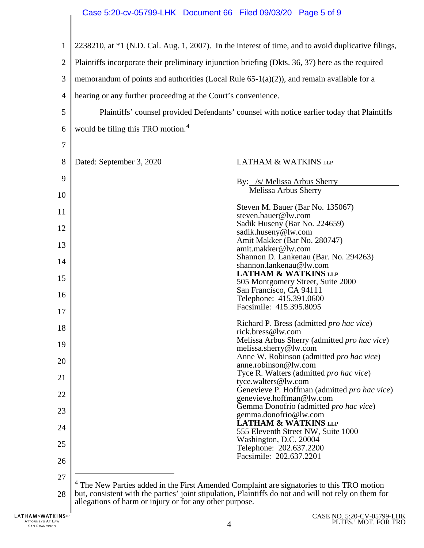<span id="page-4-0"></span>

|                | <b>UV OUTSS LITTLE DOUGHTIGHT OUT THIGH OUTSDIED</b> IT LAND                                                                                                                                                                                                            |                                                                                                     |  |
|----------------|-------------------------------------------------------------------------------------------------------------------------------------------------------------------------------------------------------------------------------------------------------------------------|-----------------------------------------------------------------------------------------------------|--|
| $\mathbf{1}$   |                                                                                                                                                                                                                                                                         | 2238210, at *1 (N.D. Cal. Aug. 1, 2007). In the interest of time, and to avoid duplicative filings, |  |
| $\overline{2}$ | Plaintiffs incorporate their preliminary injunction briefing (Dkts. 36, 37) here as the required                                                                                                                                                                        |                                                                                                     |  |
| 3              | memorandum of points and authorities (Local Rule $65-1(a)(2)$ ), and remain available for a                                                                                                                                                                             |                                                                                                     |  |
| $\overline{4}$ | hearing or any further proceeding at the Court's convenience.                                                                                                                                                                                                           |                                                                                                     |  |
| 5              | Plaintiffs' counsel provided Defendants' counsel with notice earlier today that Plaintiffs                                                                                                                                                                              |                                                                                                     |  |
| 6              | would be filing this TRO motion. <sup>4</sup>                                                                                                                                                                                                                           |                                                                                                     |  |
| 7              |                                                                                                                                                                                                                                                                         |                                                                                                     |  |
| 8              | Dated: September 3, 2020                                                                                                                                                                                                                                                | <b>LATHAM &amp; WATKINS LLP</b>                                                                     |  |
| 9              |                                                                                                                                                                                                                                                                         | By: /s/ Melissa Arbus Sherry                                                                        |  |
| 10             |                                                                                                                                                                                                                                                                         | Melissa Arbus Sherry                                                                                |  |
| 11             |                                                                                                                                                                                                                                                                         | Steven M. Bauer (Bar No. 135067)<br>steven.bauer@lw.com                                             |  |
| 12             |                                                                                                                                                                                                                                                                         | Sadik Huseny (Bar No. 224659)<br>sadik.huseny@lw.com                                                |  |
| 13             |                                                                                                                                                                                                                                                                         | Amit Makker (Bar No. 280747)                                                                        |  |
| 14             |                                                                                                                                                                                                                                                                         | amit.makker@lw.com<br>Shannon D. Lankenau (Bar. No. 294263)                                         |  |
|                |                                                                                                                                                                                                                                                                         | shannon.lankenau@lw.com<br><b>LATHAM &amp; WATKINS LLP</b>                                          |  |
| 15             |                                                                                                                                                                                                                                                                         | 505 Montgomery Street, Suite 2000                                                                   |  |
| 16             |                                                                                                                                                                                                                                                                         | San Francisco, CA 94111<br>Telephone: 415.391.0600                                                  |  |
| 17             |                                                                                                                                                                                                                                                                         | Facsimile: 415.395.8095                                                                             |  |
| 18             |                                                                                                                                                                                                                                                                         | Richard P. Bress (admitted pro hac vice)<br>rick.bress@lw.com                                       |  |
| 19             |                                                                                                                                                                                                                                                                         | Melissa Arbus Sherry (admitted pro hac vice)                                                        |  |
| 20             |                                                                                                                                                                                                                                                                         | melissa.sherry@lw.com<br>Anne W. Robinson (admitted pro hac vice)                                   |  |
|                |                                                                                                                                                                                                                                                                         | anne.robinson@lw.com<br>Tyce R. Walters (admitted pro hac vice)                                     |  |
| 21             |                                                                                                                                                                                                                                                                         | tyce.walters@lw.com<br>Genevieve P. Hoffman (admitted pro hac vice)                                 |  |
| 22             |                                                                                                                                                                                                                                                                         | genevieve.hoffman@lw.com                                                                            |  |
| 23             |                                                                                                                                                                                                                                                                         | Gemma Donofrio (admitted pro hac vice)<br>gemma.donofrio@lw.com                                     |  |
| 24             |                                                                                                                                                                                                                                                                         | <b>LATHAM &amp; WATKINS LLP</b><br>555 Eleventh Street NW, Suite 1000                               |  |
| 25             |                                                                                                                                                                                                                                                                         | Washington, D.C. 20004                                                                              |  |
| 26             |                                                                                                                                                                                                                                                                         | Telephone: 202.637.2200<br>Facsimile: 202.637.2201                                                  |  |
| 27             |                                                                                                                                                                                                                                                                         |                                                                                                     |  |
| 28             | <sup>4</sup> The New Parties added in the First Amended Complaint are signatories to this TRO motion<br>but, consistent with the parties' joint stipulation, Plaintiffs do not and will not rely on them for<br>allegations of harm or injury or for any other purpose. |                                                                                                     |  |
|                |                                                                                                                                                                                                                                                                         |                                                                                                     |  |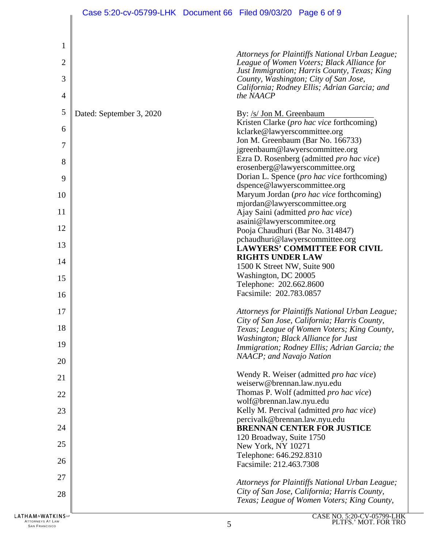| $\mathbf{1}$   |                          |                                                                                                 |
|----------------|--------------------------|-------------------------------------------------------------------------------------------------|
|                |                          |                                                                                                 |
| $\overline{c}$ |                          | Attorneys for Plaintiffs National Urban League;<br>League of Women Voters; Black Alliance for   |
| 3              |                          | Just Immigration; Harris County, Texas; King<br>County, Washington; City of San Jose,           |
| 4              |                          | California; Rodney Ellis; Adrian Garcia; and<br>the NAACP                                       |
| 5              | Dated: September 3, 2020 | By: /s/ Jon M. Greenbaum<br>Kristen Clarke (pro hac vice forthcoming)                           |
| 6              |                          | kclarke@lawyerscommittee.org<br>Jon M. Greenbaum (Bar No. 166733)                               |
| 7              |                          | jgreenbaum@lawyerscommittee.org<br>Ezra D. Rosenberg (admitted pro hac vice)                    |
| 8              |                          | erosenberg@lawyerscommittee.org                                                                 |
| 9              |                          | Dorian L. Spence (pro hac vice forthcoming)                                                     |
|                |                          | dspence@lawyerscommittee.org<br>Maryum Jordan (pro hac vice forthcoming)                        |
| 10<br>11       |                          | mjordan@lawyerscommittee.org                                                                    |
|                |                          | Ajay Saini (admitted pro hac vice)<br>asaini@lawyerscommitee.org                                |
| 12             |                          | Pooja Chaudhuri (Bar No. 314847)                                                                |
| 13             |                          | pchaudhuri@lawyerscommittee.org<br><b>LAWYERS' COMMITTEE FOR CIVIL</b>                          |
| 14             |                          | <b>RIGHTS UNDER LAW</b>                                                                         |
|                |                          | 1500 K Street NW, Suite 900                                                                     |
| 15             |                          | Washington, DC 20005<br>Telephone: 202.662.8600                                                 |
| 16             |                          | Facsimile: 202.783.0857                                                                         |
| 17             |                          | Attorneys for Plaintiffs National Urban League;<br>City of San Jose, California; Harris County, |
| 18             |                          | Texas; League of Women Voters; King County,                                                     |
| 19             |                          | Washington; Black Alliance for Just<br>Immigration; Rodney Ellis; Adrian Garcia; the            |
| 20             |                          | NAACP; and Navajo Nation                                                                        |
| 21             |                          | Wendy R. Weiser (admitted pro hac vice)<br>weiserw@brennan.law.nyu.edu                          |
| 22             |                          | Thomas P. Wolf (admitted pro hac vice)<br>wolf@brennan.law.nyu.edu                              |
| 23             |                          | Kelly M. Percival (admitted pro hac vice)<br>percivalk@brennan.law.nyu.edu                      |
| 24             |                          | <b>BRENNAN CENTER FOR JUSTICE</b><br>120 Broadway, Suite 1750                                   |
| 25             |                          | New York, NY 10271                                                                              |
| 26             |                          | Telephone: 646.292.8310<br>Facsimile: 212.463.7308                                              |
| 27             |                          | Attorneys for Plaintiffs National Urban League;                                                 |
| 28             |                          | City of San Jose, California; Harris County,<br>Texas; League of Women Voters; King County,     |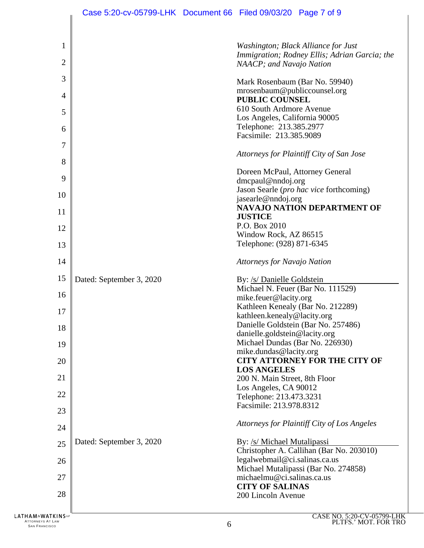|                   | Case 5:20-cv-05799-LHK Document 66 Filed 09/03/20 Page 7 of 9 |                                                                                         |                                                                                      |
|-------------------|---------------------------------------------------------------|-----------------------------------------------------------------------------------------|--------------------------------------------------------------------------------------|
|                   |                                                               |                                                                                         |                                                                                      |
| 1<br>2            |                                                               | NAACP; and Navajo Nation                                                                | Washington; Black Alliance for Just<br>Immigration; Rodney Ellis; Adrian Garcia; the |
| 3                 |                                                               |                                                                                         |                                                                                      |
| $\overline{4}$    |                                                               | Mark Rosenbaum (Bar No. 59940)<br>mrosenbaum@publiccounsel.org<br><b>PUBLIC COUNSEL</b> |                                                                                      |
| 5                 |                                                               | 610 South Ardmore Avenue                                                                |                                                                                      |
| 6                 |                                                               | Los Angeles, California 90005<br>Telephone: 213.385.2977<br>Facsimile: 213.385.9089     |                                                                                      |
| 7                 |                                                               |                                                                                         |                                                                                      |
| 8                 |                                                               |                                                                                         | Attorneys for Plaintiff City of San Jose                                             |
| 9                 |                                                               | Doreen McPaul, Attorney General<br>$d$ mcpaul@nndoj.org                                 |                                                                                      |
| 10                |                                                               |                                                                                         | Jason Searle (pro hac vice forthcoming)                                              |
|                   |                                                               | jasearle@nndoj.org                                                                      | NAVAJO NATION DEPARTMENT OF                                                          |
| 11                |                                                               | <b>JUSTICE</b>                                                                          |                                                                                      |
| 12                |                                                               | P.O. Box 2010<br>Window Rock, AZ 86515                                                  |                                                                                      |
| 13                |                                                               | Telephone: (928) 871-6345                                                               |                                                                                      |
| 14                |                                                               | <b>Attorneys for Navajo Nation</b>                                                      |                                                                                      |
| 15                | Dated: September 3, 2020                                      | By: /s/ Danielle Goldstein                                                              |                                                                                      |
| 16                |                                                               | mike.feuer@lacity.org                                                                   | Michael N. Feuer (Bar No. 111529)                                                    |
| 17                |                                                               |                                                                                         | Kathleen Kenealy (Bar No. 212289)                                                    |
|                   |                                                               | kathleen.kenealy@lacity.org                                                             | Danielle Goldstein (Bar No. 257486)                                                  |
| 18                |                                                               | danielle.goldstein@lacity.org                                                           |                                                                                      |
| 19                |                                                               | Michael Dundas (Bar No. 226930)<br>mike.dundas@lacity.org                               |                                                                                      |
| 20                |                                                               |                                                                                         | <b>CITY ATTORNEY FOR THE CITY OF</b>                                                 |
| 21                |                                                               | <b>LOS ANGELES</b><br>200 N. Main Street, 8th Floor                                     |                                                                                      |
|                   |                                                               | Los Angeles, CA 90012                                                                   |                                                                                      |
| 22                |                                                               | Telephone: 213.473.3231                                                                 |                                                                                      |
| 23                |                                                               | Facsimile: 213.978.8312                                                                 |                                                                                      |
| 24                |                                                               |                                                                                         | Attorneys for Plaintiff City of Los Angeles                                          |
| 25                | Dated: September 3, 2020                                      | By: /s/ Michael Mutalipassi                                                             |                                                                                      |
| 26                |                                                               | legalwebmail@ci.salinas.ca.us                                                           | Christopher A. Callihan (Bar No. 203010)                                             |
| 27                |                                                               | michaelmu@ci.salinas.ca.us                                                              | Michael Mutalipassi (Bar No. 274858)                                                 |
|                   |                                                               | <b>CITY OF SALINAS</b>                                                                  |                                                                                      |
| 28                |                                                               | 200 Lincoln Avenue                                                                      |                                                                                      |
| LATHAM&WATKINSLIP |                                                               |                                                                                         | CASE NO. 5:20-CV-05799-LH                                                            |

ATTORNEYS AT LAW  $6$  San Francisco 6  $6$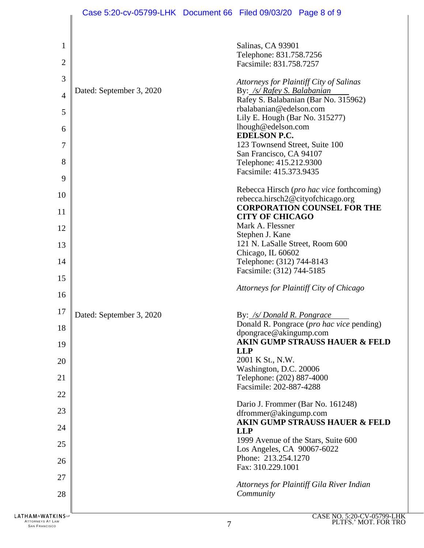|                             | Case 5:20-cv-05799-LHK Document 66 Filed 09/03/20 Page 8 of 9 |                                                        |                                           |
|-----------------------------|---------------------------------------------------------------|--------------------------------------------------------|-------------------------------------------|
| 1                           |                                                               | Salinas, CA 93901                                      |                                           |
| $\overline{2}$              |                                                               | Telephone: 831.758.7256<br>Facsimile: 831.758.7257     |                                           |
| 3                           |                                                               |                                                        | Attorneys for Plaintiff City of Salinas   |
| $\overline{4}$              | Dated: September 3, 2020                                      | By: /s/ Rafey S. Balabanian                            |                                           |
|                             |                                                               | rbalabanian@edelson.com                                | Rafey S. Balabanian (Bar No. 315962)      |
| 5                           |                                                               | Lily E. Hough (Bar No. 315277)                         |                                           |
| 6                           |                                                               | lhough@edelson.com<br><b>EDELSON P.C.</b>              |                                           |
| 7                           |                                                               | 123 Townsend Street, Suite 100                         |                                           |
| 8                           |                                                               | San Francisco, CA 94107<br>Telephone: 415.212.9300     |                                           |
| 9                           |                                                               | Facsimile: 415.373.9435                                |                                           |
|                             |                                                               |                                                        | Rebecca Hirsch (pro hac vice forthcoming) |
| 10                          |                                                               |                                                        | rebecca.hirsch2@cityofchicago.org         |
| 11                          |                                                               | <b>CITY OF CHICAGO</b>                                 | <b>CORPORATION COUNSEL FOR THE</b>        |
| 12                          |                                                               | Mark A. Flessner                                       |                                           |
| 13                          |                                                               | Stephen J. Kane<br>121 N. LaSalle Street, Room 600     |                                           |
|                             |                                                               | Chicago, IL 60602                                      |                                           |
| 14                          |                                                               | Telephone: (312) 744-8143<br>Facsimile: (312) 744-5185 |                                           |
| 15                          |                                                               |                                                        |                                           |
| 16                          |                                                               |                                                        | Attorneys for Plaintiff City of Chicago   |
| 17                          | Dated: September 3, 2020                                      | By: /s/ Donald R. Pongrace                             |                                           |
| 18                          |                                                               |                                                        | Donald R. Pongrace (pro hac vice pending) |
| 19                          |                                                               | dpongrace@akingump.com<br><b>LLP</b>                   | AKIN GUMP STRAUSS HAUER & FELD            |
| 20                          |                                                               | 2001 K St., N.W.                                       |                                           |
| 21                          |                                                               | Washington, D.C. 20006<br>Telephone: (202) 887-4000    |                                           |
| 22                          |                                                               | Facsimile: 202-887-4288                                |                                           |
|                             |                                                               |                                                        | Dario J. Frommer (Bar No. 161248)         |
| 23                          |                                                               | dfrommer@akingump.com                                  |                                           |
| 24                          |                                                               | <b>LLP</b>                                             | <b>AKIN GUMP STRAUSS HAUER &amp; FELD</b> |
| 25                          |                                                               | Los Angeles, CA 90067-6022                             | 1999 Avenue of the Stars, Suite 600       |
| 26                          |                                                               | Phone: 213.254.1270                                    |                                           |
| 27                          |                                                               | Fax: 310.229.1001                                      |                                           |
|                             |                                                               |                                                        | Attorneys for Plaintiff Gila River Indian |
| 28                          |                                                               | Community                                              |                                           |
| <b>LATHAM&amp;WATKINSLP</b> |                                                               |                                                        | CASE NO. 5:20-CV-05799-1                  |

ATTORNEYS AT LAW **ATTORNEYS AT LAW AND SAN FRANCISCO** THE SAN FRANCISCO **7**